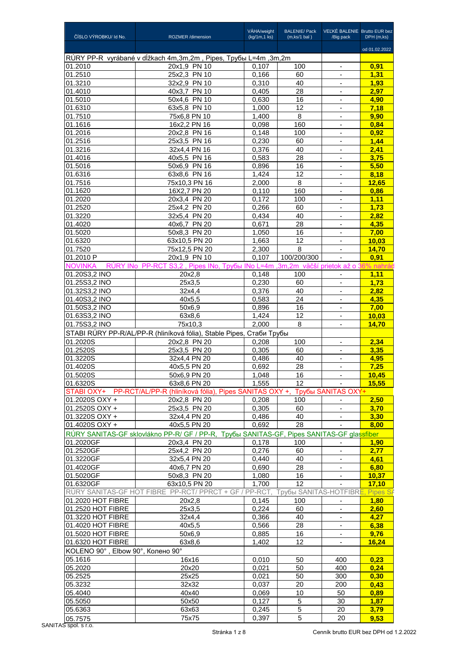|                                        |                                                                                           | VÁHA/weight    | <b>BALENIE/ Pack</b>             | VEĽKÉ BALENIE Brutto EUR bez               |               |
|----------------------------------------|-------------------------------------------------------------------------------------------|----------------|----------------------------------|--------------------------------------------|---------------|
| ČÍSLO VÝROBKU/ Id No.                  | ROZMER /dimension                                                                         | (kg/1m,1 ks)   | (m, ks/1 bal)                    | /Big pack                                  | DPH (m,ks)    |
|                                        |                                                                                           |                |                                  |                                            | od 01.02.2022 |
| 01.2010                                | RÚRY PP-R vyrábané v dĺžkach 4m,3m,2m, Pipes, Трубы L=4m ,3m,2m<br>20x1,9 PN 10           | 0,107          | 100                              | $\blacksquare$                             | 0,91          |
| 01.2510                                | 25x2,3 PN 10                                                                              | 0,166          | 60                               | $\overline{\phantom{a}}$                   | 1,31          |
| 01.3210                                | 32x2,9 PN 10                                                                              | 0,310          | 40                               | $\blacksquare$                             | 1,93          |
| 01.4010                                | 40x3,7 PN 10                                                                              | 0,405          | 28                               | $\blacksquare$                             | 2.97          |
| 01.5010                                | 50x4,6 PN 10                                                                              | 0,630          | 16                               |                                            | 4,90          |
| 01.6310<br>01.7510                     | 63x5,8 PN 10<br>75x6,8 PN 10                                                              | 1,000<br>1,400 | 12<br>8                          | $\blacksquare$<br>$\overline{\phantom{a}}$ | 7,18<br>9,90  |
| 01.1616                                | 16x2,2 PN 16                                                                              | 0,098          | 160                              | $\blacksquare$                             | 0,84          |
| 01.2016                                | 20x2,8 PN 16                                                                              | 0,148          | 100                              | $\blacksquare$                             | 0.92          |
| 01.2516                                | 25x3,5 PN 16                                                                              | 0,230          | 60                               |                                            | 1,44          |
| 01.3216<br>01.4016                     | 32x4,4 PN 16                                                                              | 0,376          | 40                               | $\overline{\phantom{a}}$                   | 2,41<br>3,75  |
| 01.5016                                | 40x5,5 PN 16<br>50x6,9 PN 16                                                              | 0,583<br>0,896 | 28<br>16                         | $\overline{\phantom{a}}$<br>$\blacksquare$ | 5,50          |
| 01.6316                                | 63x8,6 PN 16                                                                              | 1,424          | $\overline{12}$                  |                                            | 8,18          |
| 01.7516                                | 75x10,3 PN 16                                                                             | 2,000          | 8                                |                                            | 12,65         |
| 01.1620                                | 16X2,7 PN 20                                                                              | 0,110          | 160                              | $\overline{\phantom{a}}$                   | 0,86          |
| 01.2020<br>01.2520                     | 20x3,4 PN 20<br>25x4,2 PN 20                                                              | 0,172<br>0,266 | 100<br>60                        | ۰                                          | 1,11<br>1,73  |
| 01.3220                                | 32x5,4 PN 20                                                                              | 0,434          | 40                               | $\blacksquare$                             | 2.82          |
| 01.4020                                | 40x6,7 PN 20                                                                              | 0,671          | 28                               |                                            | 4,35          |
| 01.5020                                | 50x8,3 PN 20                                                                              | 1,050          | 16                               | $\overline{\phantom{a}}$                   | 7,00          |
| 01.6320                                | 63x10,5 PN 20                                                                             | 1,663          | 12                               | $\overline{\phantom{a}}$                   | 10,03         |
| 01.7520<br>01.2010 P                   | 75x12,5 PN 20<br>20x1,9 PN 10                                                             | 2,300<br>0,107 | 8<br>100/200/300                 | $\blacksquare$                             | 14,70<br>0.91 |
| <b>NOVINKA</b>                         | RÚRY INo PP-RCT S3,2, Pipes INo, Tpyбы INo L=4m, 3m, 2m väčší prietok až o 36% nahrá      |                |                                  |                                            |               |
| 01.20S3,2 INO                          | 20x2,8                                                                                    | 0,148          | 100                              |                                            | 1,11          |
| 01.25S3,2 INO                          | 25x3,5                                                                                    | 0,230          | 60                               | $\overline{\phantom{a}}$                   | 1,73          |
| 01.32S3,2 INO                          | 32x4,4                                                                                    | 0,376          | 40                               |                                            | 2,82          |
| 01.40S3,2 INO                          | 40x5,5                                                                                    | 0,583          | 24                               | ٠                                          | 4.35          |
| 01.50S3,2 INO<br>01.63S3,2 INO         | 50x6.9<br>63x8,6                                                                          | 0,896<br>1,424 | 16<br>12                         | $\overline{\phantom{a}}$                   | 7,00<br>10,03 |
| 01.75S3,2 INO                          | 75x10,3                                                                                   | 2,000          | 8                                | $\overline{\phantom{a}}$                   | 14,70         |
|                                        | STABI RÚRY PP-R/AL/PP-R (hliníková fólia), Stable Pipes, Стаби Трубы                      |                |                                  |                                            |               |
| 01.2020S                               | 20x2,8 PN 20                                                                              | 0,208          | 100                              |                                            | 2,34          |
| 01.2520S                               | 25x3,5 PN 20                                                                              | 0,305          | 60                               | $\overline{\phantom{a}}$                   | 3,35          |
| 01.3220S<br>01.4020S                   | 32x4,4 PN 20<br>40x5,5 PN 20                                                              | 0,486<br>0,692 | 40<br>28                         |                                            | 4,95<br>7,25  |
| 01.5020S                               | 50x6,9 PN 20                                                                              | 1,048          | 16                               | $\blacksquare$                             | <u>10,45</u>  |
| 01.6320S                               | 63x8.6 PN 20                                                                              | 1,555          | 12                               |                                            | 15,55         |
|                                        | STABI OXY+ PP-RCT/AL/PP-R (hliníková fólia), Pipes SANITAS OXY +, Tpyбы SANITAS OXY+      |                |                                  |                                            |               |
| 01.2020S OXY +                         | 20x2,8 PN 20                                                                              | 0,208          | 100                              |                                            | 2,50          |
| 01.2520S OXY +                         | 25x3,5 PN 20                                                                              | 0,305          | 60                               | $\mathbf{r}$                               | 3,70          |
| 01.3220S OXY +<br>01.4020S OXY +       | 32x4,4 PN 20<br>40x5,5 PN 20                                                              | 0,486<br>0,692 | 40<br>28                         | $\overline{\phantom{a}}$                   | 3.30<br>8,00  |
|                                        | RÚRY SANITAS-GF sklovlákno PP-R/ GF / PP-R, Трубы SANITAS-GF, Pipes SANITAS-GF glassfiber |                |                                  |                                            |               |
| 01.2020GF                              | 20x3,4 PN 20                                                                              | 0,178          | 100                              | $\overline{\phantom{a}}$                   | 1,90          |
| 01.2520GF                              | 25x4,2 PN 20                                                                              | 0,276          | 60                               |                                            | 2,77          |
| 01.3220GF                              | 32x5,4 PN 20                                                                              | 0,440          | 40                               |                                            | 4,61          |
| 01.4020GF<br>01.5020GF                 | 40x6,7 PN 20<br>50x8,3 PN 20                                                              | 0,690<br>1,080 | 28<br>16                         | $\overline{\phantom{a}}$                   | 6,80<br>10,37 |
| 01.6320GF                              | 63x10,5 PN 20                                                                             | 1,700          | 12                               |                                            | 17,10         |
|                                        | RÚRY SANITAS-GF HOT FIBRE PP-RCT/ PPRCT + GF / PP-RCT,                                    |                | Трубы SANITAS-HOTFIBRE, Pipes SA |                                            |               |
| 01.2020 HOT FIBRE                      | $\overline{2}0x2,8$                                                                       | 0,145          | 100                              |                                            | 1,80          |
| 01.2520 HOT FIBRE                      | 25x3,5                                                                                    | 0,224          | 60                               | $\blacksquare$                             | 2,60          |
| 01.3220 HOT FIBRE                      | 32x4,4                                                                                    | 0,366          | 40                               |                                            | 4,27          |
| 01.4020 HOT FIBRE<br>01.5020 HOT FIBRE | 40x5,5<br>50x6,9                                                                          | 0,566<br>0,885 | 28<br>16                         |                                            | 6,38<br>9,76  |
| 01.6320 HOT FIBRE                      | 63x8,6                                                                                    | 1,402          | 12                               |                                            | 16,24         |
| KOLENO 90°, Elbow 90°, Колено 90°      |                                                                                           |                |                                  |                                            |               |
| 05.1616                                | 16x16                                                                                     | 0,010          | 50                               | 400                                        | 0.23          |
| 05.2020                                | 20x20                                                                                     | 0,021          | 50                               | 400                                        | 0,24          |
| 05.2525                                | 25x25                                                                                     | 0,021          | 50                               | 300                                        | 0,30          |
| 05.3232<br>05.4040                     | 32x32<br>40x40                                                                            | 0,037<br>0,069 | 20<br>10                         | 200<br>50                                  | 0,43<br>0,89  |
| 05.5050                                | 50x50                                                                                     | 0,127          | 5                                | 30                                         | 1,87          |
| 05.6363                                | 63x63                                                                                     | 0,245          | 5                                | 20                                         | 3,79          |
| 05.7575                                | 75x75                                                                                     | 0,397          | $5\phantom{.0}$                  | 20                                         | 9,53          |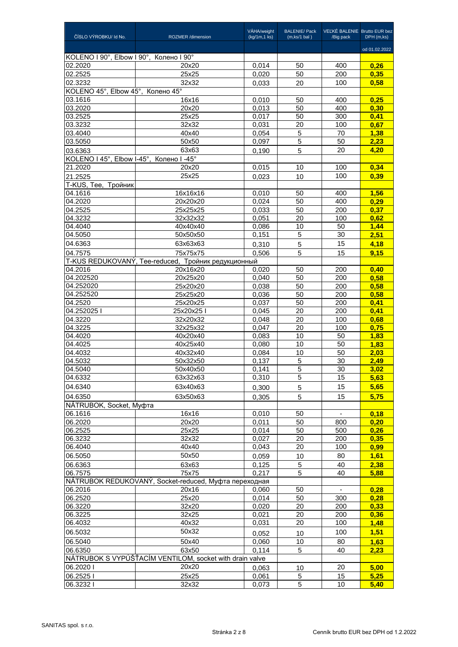| ČÍSLO VÝROBKU/ Id No.                    | ROZMER /dimension                                       | VÁHA/weight<br>(kg/1m,1 ks) | <b>BALENIE/ Pack</b><br>(m, ks/1 bal) | VEĽKÉ BALENIE Brutto EUR bez<br>/Big pack | DPH (m,ks)    |
|------------------------------------------|---------------------------------------------------------|-----------------------------|---------------------------------------|-------------------------------------------|---------------|
|                                          |                                                         |                             |                                       |                                           | od 01.02.2022 |
| KOLENO I 90°, Elbow I 90°, Колено I 90°  |                                                         |                             |                                       |                                           |               |
| 02.2020<br>02.2525                       | 20x20<br>25x25                                          | 0,014<br>0,020              | 50<br>50                              | 400<br>200                                | 0,26<br>0,35  |
| 02.3232                                  | 32x32                                                   | 0.033                       | 20                                    | 100                                       | 0,58          |
| KOLENO 45°, Elbow 45°, Колено 45°        |                                                         |                             |                                       |                                           |               |
| 03.1616                                  | 16x16                                                   | 0.010                       | 50                                    | 400                                       | 0,25          |
| 03.2020                                  | 20x20                                                   | 0,013                       | 50                                    | 400                                       | 0,30          |
| 03.2525                                  | 25x25                                                   | 0.017                       | 50                                    | 300                                       | 0,41          |
| 03.3232                                  | 32x32                                                   | 0,031                       | 20                                    | 100                                       | 0,67          |
| 03.4040                                  | 40x40                                                   | 0,054                       | 5                                     | 70                                        | 1,38          |
| 03.5050                                  | 50x50                                                   | 0,097                       | 5                                     | 50                                        | 2,23          |
| 03.6363                                  | 63x63                                                   | 0,190                       | 5                                     | 20                                        | 4,20          |
| KOLENO I 45°, Elbow I-45°, Колено I -45° |                                                         |                             |                                       |                                           |               |
| 21.2020                                  | 20x20                                                   | 0,015                       | 10                                    | 100                                       | 0,34          |
| 21.2525                                  | 25x25                                                   | 0,023                       | 10                                    | 100                                       | 0,39          |
| T-KUS, Tee, Тройник<br>04.1616           | 16x16x16                                                |                             | 50                                    |                                           | 1,56          |
| 04.2020                                  | 20x20x20                                                | 0.010<br>0,024              | 50                                    | 400<br>400                                | 0,29          |
| 04.2525                                  | 25x25x25                                                | 0,033                       | 50                                    | 200                                       | 0,37          |
| 04.3232                                  | 32x32x32                                                | 0.051                       | 20                                    | 100                                       | 0,62          |
| 04.4040                                  | 40x40x40                                                | 0,086                       | 10                                    | 50                                        | 1,44          |
| 04.5050                                  | 50x50x50                                                | 0,151                       | 5                                     | 30                                        | 2,51          |
| 04.6363                                  | 63x63x63                                                | 0,310                       | 5                                     | 15                                        | 4,18          |
| 04.7575                                  | 75x75x75                                                | 0,506                       | 5                                     | 15                                        | 9.15          |
|                                          | T-KUS REDUKOVANÝ, Tee-reduced, Тройник редукционный     |                             |                                       |                                           |               |
| 04.2016                                  | 20x16x20                                                | 0,020                       | 50                                    | 200                                       | 0,40          |
| 04.202520                                | 20x25x20                                                | 0,040                       | 50                                    | 200                                       | 0,58          |
| 04.252020<br>04.252520                   | 25x20x20                                                | 0,038                       | 50                                    | 200                                       | 0,58          |
| 04.2520                                  | 25x25x20<br>25x20x25                                    | 0,036<br>0,037              | 50<br>50                              | 200<br>200                                | 0,58<br>0.41  |
| 04.252025 l                              | 25x20x251                                               | 0,045                       | 20                                    | 200                                       | 0,41          |
| 04.3220                                  | 32x20x32                                                | 0,048                       | 20                                    | 100                                       | 0,68          |
| 04.3225                                  | 32x25x32                                                | 0,047                       | 20                                    | 100                                       | 0,75          |
| 04.4020                                  | 40x20x40                                                | 0,083                       | 10                                    | 50                                        | 1,83          |
| 04.4025                                  | 40x25x40                                                | 0,080                       | 10                                    | 50                                        | 1,83          |
| 04.4032                                  | 40x32x40                                                | 0,084                       | 10                                    | 50                                        | 2,03          |
| 04.5032                                  | 50x32x50                                                | 0,137                       | 5                                     | 30                                        | 2,49          |
| 04.5040                                  | 50x40x50                                                | 0,141                       | $\overline{5}$<br>5                   | $\overline{30}$                           | 3,02          |
| 04.6332                                  | 63x32x63                                                | 0,310                       |                                       | 15                                        | 5,63          |
| 04.6340                                  | 63x40x63                                                | 0,300                       | 5                                     | 15                                        | 5,65          |
| 04.6350                                  | 63x50x63                                                | 0,305                       | 5                                     | 15                                        | 5,75          |
| NÁTRUBOK, Socket, Муфта<br>06.1616       | 16x16                                                   | 0,010                       | 50                                    | $\sim$                                    | 0,18          |
| 06.2020                                  | 20x20                                                   | 0,011                       | 50                                    | 800                                       | 0,20          |
| 06.2525                                  | 25x25                                                   | 0,014                       | 50                                    | 500                                       | 0,26          |
| 06.3232                                  | 32x32                                                   | 0,027                       | 20                                    | 200                                       | 0,35          |
| 06.4040                                  | 40x40                                                   | 0,043                       | 20                                    | 100                                       | 0,99          |
| 06.5050                                  | 50x50                                                   | 0,059                       | 10                                    | 80                                        | 1,61          |
| 06.6363                                  | 63x63                                                   | 0,125                       | 5                                     | 40                                        | 2,38          |
| 06.7575                                  | 75x75                                                   | 0,217                       | 5                                     | 40                                        | 5,88          |
|                                          | NÁTRUBOK REDUKOVANÝ, Socket-reduced, Муфта переходная   |                             |                                       |                                           |               |
| 06.2016                                  | 20x16                                                   | 0,060                       | 50                                    |                                           | 0,28          |
| 06.2520<br>06.3220                       | 25x20<br>32x20                                          | 0,014                       | 50<br>20                              | 300<br>200                                | 0,28          |
| 06.3225                                  | 32x25                                                   | 0,020<br>0,021              | 20                                    | 200                                       | 0,33<br>0,36  |
| 06.4032                                  | 40x32                                                   | 0,031                       | 20                                    | 100                                       | 1,48          |
| 06.5032                                  | 50x32                                                   |                             |                                       | 100                                       | 1,51          |
| 06.5040                                  | 50x40                                                   | 0,052<br>0,060              | 10<br>10                              | 80                                        | 1,63          |
| 06.6350                                  | 63x50                                                   | 0,114                       | 5                                     | 40                                        | 2,23          |
|                                          | NÁTRUBOK S VYPÚŠŤACÍM VENTILOM, socket with drain valve |                             |                                       |                                           |               |
| 06.2020                                  | 20x20                                                   | 0,063                       | 10                                    | 20                                        | 5,00          |
| 06.2525                                  | 25x25                                                   | 0,061                       | 5                                     | 15                                        | 5,25          |
| 06.32321                                 | 32x32                                                   | 0,073                       | 5                                     | 10                                        | 5,40          |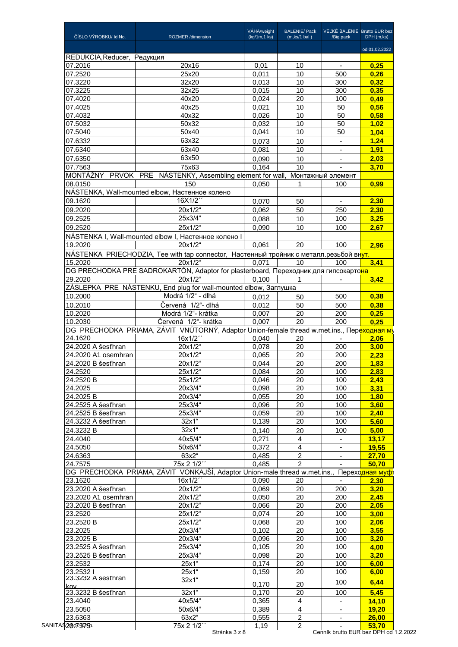| ČÍSLO VÝROBKU/ Id No.                                            | ROZMER /dimension                                                                                    | VÁHA/weight<br>(kg/1m,1 ks) | <b>BALENIE/ Pack</b><br>(m, ks/1 bal) | VEĽKÉ BALENIE Brutto EUR bez<br>/Big pack | DPH (m,ks)      |
|------------------------------------------------------------------|------------------------------------------------------------------------------------------------------|-----------------------------|---------------------------------------|-------------------------------------------|-----------------|
|                                                                  |                                                                                                      |                             |                                       |                                           | od 01.02.2022   |
| REDUKCIA, Reducer, Редукция                                      |                                                                                                      |                             |                                       |                                           |                 |
| 07.2016                                                          | 20x16                                                                                                | 0,01                        | 10                                    | $\overline{\phantom{a}}$                  | 0,25            |
| 07.2520                                                          | 25x20<br>32x20                                                                                       | 0,011<br>0,013              | 10<br>10                              | 500<br>300                                | 0,26<br>0,32    |
| 07.3220                                                          |                                                                                                      |                             |                                       |                                           |                 |
| 07.3225<br>07.4020                                               | 32x25<br>40x20                                                                                       | 0,015                       | 10                                    | 300                                       | 0,35            |
|                                                                  |                                                                                                      | 0,024                       | 20                                    | 100                                       | 0,49            |
| 07.4025                                                          | 40x25                                                                                                | 0,021                       | 10                                    | 50                                        | 0,56            |
| 07.4032                                                          | 40x32                                                                                                | 0,026                       | 10                                    | 50                                        | 0,58            |
| 07.5032                                                          | 50x32                                                                                                | 0,032                       | 10                                    | 50                                        | 1,02            |
| 07.5040                                                          | 50x40                                                                                                | 0,041                       | 10                                    | 50                                        | 1,04            |
| 07.6332                                                          | 63x32                                                                                                | 0,073                       | 10                                    | $\blacksquare$                            | 1,24            |
| 07.6340                                                          | 63x40                                                                                                | 0,081                       | 10                                    | $\overline{\phantom{a}}$                  | 1,91            |
| 07.6350                                                          | 63x50                                                                                                | 0,090                       | 10                                    | $\overline{\phantom{a}}$                  | 2,03            |
| 07.7563                                                          | 75x63                                                                                                | 0,164                       | 10                                    |                                           | 3,70            |
|                                                                  | MONTÁŽNY PRVOK PRE NÁSTENKY, Assembling element for wall,                                            |                             |                                       | Монтажный элемент                         |                 |
| 08.0150                                                          | 150                                                                                                  | 0,050                       | 1                                     | 100                                       | 0.99            |
|                                                                  | NÁSTENKA, Wall-mounted elbow, Настенное колено                                                       |                             |                                       |                                           |                 |
| 09.1620                                                          | 16X1/2"                                                                                              | 0,070                       | 50                                    | $\sim$                                    | 2,30            |
|                                                                  |                                                                                                      |                             |                                       |                                           |                 |
| 09.2020                                                          | 20x1/2"<br>25x3/4"                                                                                   | 0,062                       | 50                                    | 250                                       | 2,30            |
| 09.2525                                                          |                                                                                                      | 0,088                       | 10                                    | 100                                       | 3,25            |
| 09.2520                                                          | 25x1/2"                                                                                              | 0,090                       | 10                                    | 100                                       | 2,67            |
|                                                                  | NÁSTENKA I, Wall-mounted elbow I, Настенное колено I                                                 |                             |                                       |                                           |                 |
| 19.2020                                                          | 20x1/2"                                                                                              | 0,061                       | 20                                    | 100                                       | 2.96            |
|                                                                  | NÁSTENKA PRIECHODZIA, Tee with tap connector, Настенный тройник с металл.резьбой вн <mark>ут.</mark> |                             |                                       |                                           |                 |
| 15.2020                                                          | 20x1/2"                                                                                              | 0,071                       | 10                                    | 100                                       | 3,41            |
|                                                                  | DG PRECHODKA PRE SADROKARTÓN, Adaptor for plasterboard, Переходник для гипсокарто <mark>на</mark>    |                             |                                       |                                           |                 |
| 29.2020                                                          | 20x1/2                                                                                               | 0,100                       | 1                                     | $\mathbf{r}$                              | 3,42            |
|                                                                  | ZÁSLEPKA PRE NÁSTENKU, End plug for wall-mounted elbow, Заглушка                                     |                             |                                       |                                           |                 |
|                                                                  | Modrá 1/2" - dlhá                                                                                    |                             |                                       |                                           |                 |
| 10.2000                                                          |                                                                                                      | 0,012                       | 50                                    | 500                                       | 0,38            |
| 10.2010                                                          | Červená 1/2"- dlhá                                                                                   | 0,012                       | 50                                    | 500                                       | 0,38            |
| 10.2020                                                          | Modrá 1/2"- krátka                                                                                   | 0,007                       | 20                                    | 200                                       | 0,25            |
| 10.2030                                                          | Červená 1/2"- krátka                                                                                 | 0,007                       | $\overline{20}$                       | $\overline{200}$                          | 0.25            |
|                                                                  | DG PRECHODKA PRIAMA, ZÁVIT VNÚTORNÝ, Adaptor Union-female thread w.met.ins., Переходная му           |                             |                                       |                                           |                 |
| 24.1620                                                          | 16x1/2"                                                                                              | 0,040                       | 20                                    | $\overline{\phantom{a}}$                  | 2,06            |
| 24.2020 A šesťhran                                               | 20x1/2"                                                                                              | 0,078                       | 20                                    | 200                                       | 3,00            |
| 24.2020 A1 osemhran                                              | 20x1/2"                                                                                              | 0,065                       | 20                                    | 200                                       | 2,23            |
| 24.2020 B šesťhran                                               | 20x1/2"                                                                                              | 0,044                       | 20                                    | 200                                       | 1,83            |
| 24.2520                                                          | 25x1/2"                                                                                              | 0,084                       | 20                                    | 100                                       | 2,83            |
| 24.2520 B                                                        | 25x1/2"                                                                                              | 0,046                       | 20                                    | 100                                       | 2,43            |
| 24.2025                                                          | 20x3/4"                                                                                              | 0,098                       | 20                                    | 100                                       | 3,31            |
| 24.2025 B                                                        | 20x3/4"                                                                                              | 0,055                       | 20                                    | 100                                       | 1,80            |
| 24.2525 A šesťhran                                               | 25x3/4"                                                                                              | 0,096                       | 20                                    | 100                                       | 3,60            |
| 24.2525 B šesťhran                                               | 25x3/4"                                                                                              | 0,059                       | 20                                    | 100                                       | 2,40            |
|                                                                  |                                                                                                      |                             |                                       |                                           |                 |
| 24.3232 A šesťhran                                               | $32x1$ "                                                                                             | 0,139                       | 20                                    | 100                                       | 5,60            |
| 24.3232 B                                                        | $32x1$ "                                                                                             | 0,140                       | 20                                    | 100                                       | 5,00            |
| 24.4040                                                          | 40x5/4"                                                                                              | 0,271                       | 4                                     | $\overline{\phantom{a}}$                  | 13,17           |
| 24.5050                                                          | 50x6/4"                                                                                              | 0,372                       | $\overline{\mathbf{4}}$               | $\blacksquare$                            | 19,55           |
| 24.6363                                                          | 63x2"                                                                                                | 0,485                       | $\overline{2}$                        |                                           | 27,70           |
| 24.7575                                                          | 75x 2 1/2"                                                                                           | 0,485                       | $\overline{2}$                        |                                           | 50,70           |
|                                                                  | DG PRECHODKA PRIAMA, ZÁVIT VONKAJŠÍ, Adaptor Union-male thread w.met.ins.,                           |                             |                                       |                                           | Переходная муфт |
| 23.1620                                                          | 16x1/2"                                                                                              | 0,090                       | 20                                    |                                           | 2,30            |
| 23.2020 A šesťhran                                               | 20x1/2"                                                                                              | 0,069                       | 20                                    | 200                                       | 3,20            |
| 23.2020 A1 osemhran                                              | 20x1/2"                                                                                              | 0,050                       | 20                                    | 200                                       | 2,45            |
| 23.2020 B šesťhran                                               | 20x1/2"                                                                                              | 0,066                       | 20                                    | 200                                       | 2,05            |
| 23.2520                                                          | 25x1/2"                                                                                              | 0,074                       | 20                                    | 100                                       | 3,00            |
|                                                                  |                                                                                                      |                             |                                       |                                           |                 |
| 23.2520 B                                                        | 25x1/2"                                                                                              | 0,068                       | 20                                    | 100                                       | 2,06            |
| 23.2025                                                          | 20x3/4"                                                                                              | 0,102                       | 20                                    | 100                                       | 3,55            |
| 23.2025 B                                                        | 20x3/4"                                                                                              | 0,096                       | 20                                    | 100                                       | 3,20            |
|                                                                  | 25x3/4"                                                                                              | 0,105                       | 20                                    | 100                                       | 4,00            |
| 23.2525 A šesťhran                                               |                                                                                                      |                             | 20                                    | 100                                       | 3,20            |
|                                                                  | 25x3/4"                                                                                              | 0,098                       |                                       |                                           |                 |
|                                                                  | 25x1"                                                                                                | 0,174                       | 20                                    | 100                                       | 6,00            |
|                                                                  | 25x1"                                                                                                | 0,159                       | 20                                    | 100                                       | 6,00            |
| 23.2525 B šesťhran<br>23.2532<br>23.2532 l<br>23.3232 A sesthran | $32x1$ "                                                                                             |                             |                                       |                                           |                 |
| kov                                                              |                                                                                                      | 0,170                       | 20                                    | 100                                       | 6,44            |
| 23.3232 B šesťhran                                               | 32x1"                                                                                                | 0,170                       | 20                                    | 100                                       | 5,45            |
| 23.4040                                                          | 40x5/4"                                                                                              | 0,365                       | $\overline{\mathbf{4}}$               | $\blacksquare$                            | 14,10           |
| 23.5050                                                          | 50x6/4"                                                                                              | 0,389                       | $\overline{\mathbf{4}}$               | $\overline{\phantom{a}}$                  | 19,20           |
| 23.6363<br>SANITAS28075750.                                      | 63x2"<br>75x 2 1/2"                                                                                  | 0,555<br>1,19               | $\overline{2}$<br>$\overline{c}$      | ٠                                         | 26,00<br>53,70  |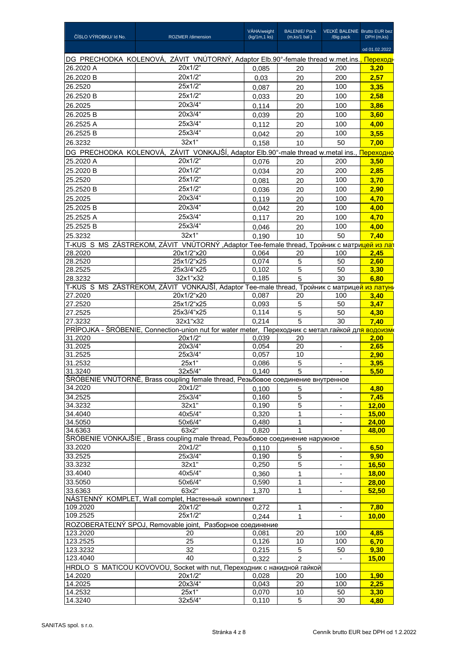| ČÍSLO VÝROBKU/ Id No. | ROZMER /dimension                                                                                              | VÁHA/weight<br>(kg/1m,1 ks) | <b>BALENIE/ Pack</b><br>(m, ks/1 bal) | VEĽKÉ BALENIE Brutto EUR bez<br>/Big pack | DPH (m,ks)     |
|-----------------------|----------------------------------------------------------------------------------------------------------------|-----------------------------|---------------------------------------|-------------------------------------------|----------------|
|                       |                                                                                                                |                             |                                       |                                           | od 01.02.2022  |
|                       | DG PRECHODKA KOLENOVÁ, ZÁVIT VNÚTORNÝ, Adaptor Elb.90°-female thread w.met.ins., Repexogr                      |                             |                                       |                                           |                |
| 26.2020 A             | 20x1/2"                                                                                                        | 0,085                       | 20                                    | 200                                       | 3,20           |
| 26.2020 B             | 20x1/2"                                                                                                        | 0,03                        | 20                                    | 200                                       | 2,57           |
| 26.2520               | 25x1/2"                                                                                                        | 0,087                       | 20                                    | 100                                       | 3,35           |
| 26.2520 B             | 25x1/2"                                                                                                        | 0,033                       | 20                                    | 100                                       | 2,58           |
| 26.2025               | 20x3/4"                                                                                                        | 0,114                       | 20                                    | 100                                       | 3,86           |
| 26.2025 B             | 20x3/4"                                                                                                        | 0,039                       | 20                                    | 100                                       | 3,60           |
| 26.2525 A             | 25x3/4"                                                                                                        | 0,112                       | 20                                    | 100                                       | 4,00           |
| 26.2525 B             | 25x3/4"                                                                                                        | 0,042                       | 20                                    | 100                                       | 3,55           |
| 26.3232               | $32x1$ "                                                                                                       | 0,158                       | 10                                    | 50                                        | 7,00           |
|                       | DG PRECHODKA KOLENOVÁ, ZÁVIT VONKAJŠÍ, Adaptor Elb.90°-male thread w.metal ins., <b>Переходно</b>              |                             |                                       |                                           |                |
| 25.2020 A             | 20x1/2"                                                                                                        | 0,076                       | 20                                    | 200                                       | 3,50           |
| 25.2020 B             | 20x1/2"                                                                                                        | 0,034                       | 20                                    | 200                                       | 2,85           |
| 25.2520               | 25x1/2"                                                                                                        | 0,081                       | 20                                    | 100                                       | 3,70           |
| 25.2520 B             | 25x1/2"                                                                                                        | 0,036                       | 20                                    | 100                                       | 2,90           |
| 25.2025               | 20x3/4"                                                                                                        | 0,119                       | 20                                    | 100                                       | 4,70           |
| 25.2025 B             | 20x3/4"                                                                                                        | 0,042                       | 20                                    | 100                                       | 4,00           |
| 25.2525 A             | 25x3/4"                                                                                                        | 0.117                       | 20                                    | 100                                       | 4,70           |
| 25.2525 B             | 25x3/4"                                                                                                        | 0.046                       | 20                                    | 100                                       | 4,00           |
| 25.3232               | 32x1"                                                                                                          | 0,190                       | 10                                    | 50                                        | 7.40           |
|                       | T-KUS S MS ZÁSTREKOM, ZÁVIT VNÚTORNÝ ,Adaptor Tee-female thread, Тройник с матрицей из лат                     |                             |                                       |                                           |                |
| 28.2020               | 20x1/2"x20                                                                                                     | 0,064                       | 20                                    | 100                                       | 2,45           |
| 28.2520               | 25x1/2"x25                                                                                                     | 0,074                       | 5                                     | 50                                        | 2,60           |
| 28.2525               | 25x3/4"x25                                                                                                     | 0,102                       | 5                                     | 50                                        | 3,30           |
| 28.3232               | 32x1"x32                                                                                                       | 0,185                       | 5                                     | 30                                        | 6,80           |
|                       | T-KUS S MS ZÁSTREKOM, ZÁVIT VONKAJŠÍ, Adaptor Tee-male thread, Тройник с матрицей из латунь                    |                             |                                       |                                           |                |
| 27.2020               | 20x1/2"x20                                                                                                     | 0,087                       | 20                                    | 100                                       | 3,40           |
| 27.2520               | 25x1/2"x25                                                                                                     | 0,093                       | 5                                     | 50                                        | 3,47           |
| 27.2525               | 25x3/4"x25                                                                                                     | 0,114                       | 5                                     | 50                                        | 4,30           |
| 27.3232               | 32x1"x32                                                                                                       | 0,214                       | 5                                     | 30                                        | 7,40           |
|                       | PRÍPOJKA - ŠRÓBENIE, Connection-union nut for water meter, Переходник с метал гайкой дл <mark>я водоизм</mark> |                             |                                       |                                           |                |
| 31.2020<br>31.2025    | 20x1/2"<br>20x3/4"                                                                                             | 0,039<br>0,054              | 20<br>20                              | $\overline{\phantom{a}}$                  | 2,00<br>2,65   |
| 31.2525               | 25x3/4"                                                                                                        | 0,057                       | 10                                    |                                           | 2.90           |
| 31.2532               | 25x1"                                                                                                          | 0,086                       | 5                                     |                                           | 3,95           |
| 31.3240               | 32x5/4"                                                                                                        | 0,140                       | 5                                     | $\blacksquare$                            | 5,50           |
|                       | ŠRÓBENIE VNÚTORNÉ, Brass coupling female thread, Резьбовое соединение внутренное                               |                             |                                       |                                           |                |
| 34.2020               | 20x1/2"                                                                                                        | 0,100                       | 5                                     |                                           | 4,80           |
| 34.2525               | 25x3/4"                                                                                                        | 0,160                       | 5                                     | $\qquad \qquad \blacksquare$              | 7,45           |
| 34.3232               | 32x1                                                                                                           | 0,190                       | 5                                     | $\blacksquare$                            | 12,00          |
| 34.4040               | 40x5/4"                                                                                                        | 0,320                       | $\mathbf{1}$                          |                                           | 15,00          |
| 34.5050               | 50x6/4"                                                                                                        | 0,480                       | 1                                     | $\overline{\phantom{a}}$                  | 24,00          |
| 34.6363               | 63x2"                                                                                                          | 0,820                       |                                       |                                           | 48,00          |
|                       | ŠRÓBENIE VONKAJŠIE, Brass coupling male thread, Резьбовое соединение наружное                                  |                             |                                       |                                           |                |
| 33.2020               | 20x1/2"                                                                                                        | 0,110                       | 5                                     |                                           | 6,50           |
| 33.2525<br>33.3232    | 25x3/4"<br>32x1                                                                                                | 0,190<br>0,250              | 5<br>5                                | $\overline{\phantom{a}}$                  | 9,90           |
| 33.4040               | 40x5/4"                                                                                                        |                             | 1                                     |                                           | 16,50<br>18,00 |
| 33.5050               | 50x6/4"                                                                                                        | 0,360<br>0,590              | 1                                     | $\overline{\phantom{a}}$                  | 28,00          |
| 33.6363               | 63x2"                                                                                                          | 1,370                       | 1                                     | $\blacksquare$                            | 52,50          |
|                       | NÁSTENNÝ KOMPLET, Wall complet, Настенный комплект                                                             |                             |                                       |                                           |                |
| 109.2020              | 20x1/2"                                                                                                        | 0,272                       | 1                                     | $\overline{\phantom{a}}$                  | 7,80           |
| 109.2525              | 25x1/2"                                                                                                        | 0,244                       | 1                                     |                                           | 10,00          |
|                       | ROZOBERATEĽNÝ SPOJ, Removable joint, Разборное соединение                                                      |                             |                                       |                                           |                |
| 123.2020              | 20                                                                                                             | 0,081                       | 20                                    | 100                                       | 4,85           |
| 123.2525              | 25                                                                                                             | 0,126                       | 10                                    | 100                                       | 6,70           |
| 123.3232              | 32                                                                                                             | 0,215                       | $\sqrt{5}$                            | 50                                        | 9,30           |
| 123.4040              | 40                                                                                                             | 0,322                       | 2                                     | $\frac{1}{2}$                             | 15,00          |
|                       | HRDLO S MATICOU KOVOVOU, Socket with nut, Переходник с накидной гайкой                                         |                             |                                       |                                           |                |
| 14.2020               | 20x1/2"                                                                                                        | 0,028                       | 20                                    | 100                                       | 1,90           |
| 14.2025               | $20x3/4$ "                                                                                                     | 0,043                       | $20\,$                                | 100                                       | 2,25           |
| 14.2532<br>14.3240    | 25x1"<br>32x5/4"                                                                                               | 0,070<br>0,110              | $10$<br>5                             | 50<br>30                                  | 3,30<br>4,80   |
|                       |                                                                                                                |                             |                                       |                                           |                |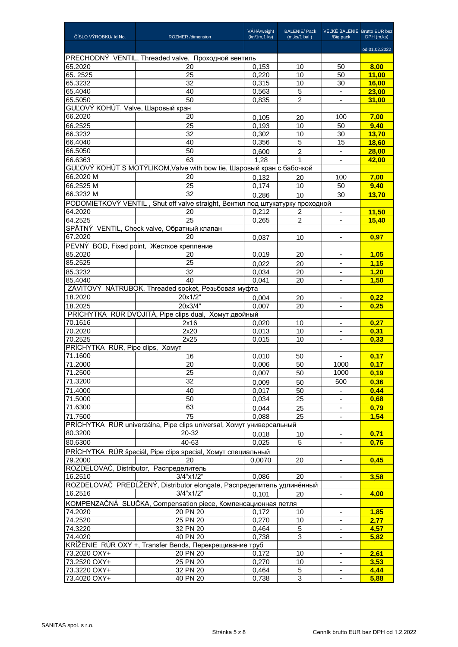| ČÍSLO VÝROBKU/ Id No.             | <b>ROZMER</b> /dimension                                                      | VÁHA/weight<br>(kg/1m,1 ks) | <b>BALENIE/ Pack</b><br>$(m, ks/1$ bal) | VEĽKÉ BALENIE Brutto EUR bez<br>/Big pack | DPH (m,ks)    |
|-----------------------------------|-------------------------------------------------------------------------------|-----------------------------|-----------------------------------------|-------------------------------------------|---------------|
|                                   |                                                                               |                             |                                         |                                           | od 01.02.2022 |
|                                   | PRECHODNÝ VENTIL, Threaded valve, Проходной вентиль                           |                             |                                         |                                           |               |
| 65.2020                           | 20                                                                            | 0,153                       | 10                                      | 50                                        | 8.00          |
| 65.2525                           | 25                                                                            | 0,220                       | 10                                      | 50                                        | 11,00         |
| 65.3232                           | 32                                                                            | 0,315                       | 10                                      | 30                                        | <b>16,00</b>  |
| 65.4040                           | 40                                                                            | 0,563                       | 5                                       | $\blacksquare$                            | <b>23,00</b>  |
| 65.5050                           | 50                                                                            | 0,835                       | $\overline{2}$                          |                                           | 31,00         |
| GUĽOVÝ KOHÚT, Valve, Шаровый кран |                                                                               |                             |                                         |                                           |               |
| 66.2020                           | 20                                                                            | 0.105                       | 20                                      | 100                                       | 7,00          |
| 66.2525                           | 25                                                                            | 0,193                       | 10                                      | 50                                        | 9,40          |
| 66.3232                           | 32                                                                            | 0,302                       | 10                                      | 30                                        | 13,70         |
| 66.4040                           | 40                                                                            | 0,356                       | 5                                       | 15                                        | <b>18,60</b>  |
| 66.5050                           | 50                                                                            | 0,600                       | $\overline{2}$                          |                                           | 28,00         |
| 66.6363                           | 63                                                                            | 1.28                        | 1                                       |                                           | 42.00         |
| 66.2020 M                         | GUĽOVÝ KOHÚT S MOTÝLIKOM, Valve with bow tie, Шаровый кран с бабочкой         |                             |                                         |                                           |               |
|                                   | 20                                                                            | 0,132                       | 20                                      | 100                                       | 7,00          |
| 66.2525 M                         | 25                                                                            | 0,174                       | 10                                      | 50                                        | 9,40          |
| 66.3232 M                         | 32                                                                            | 0,286                       | 10                                      | 30                                        | 13,70         |
|                                   | PODOMIETKOVÝ VENTIL, Shut off valve straight, Вентил под штукатурку проходной |                             |                                         |                                           |               |
| 64.2020                           | 20                                                                            | 0,212                       | 2                                       | $\blacksquare$                            | 11,50         |
| 64.2525                           | 25                                                                            | 0,265                       | 2                                       |                                           | 15.40         |
| 67.2020                           | SPÄTNÝ VENTIL, Check valve, Обратный клапан                                   |                             |                                         |                                           |               |
|                                   | 20                                                                            | 0,037                       | 10                                      | $\overline{\phantom{a}}$                  | 0,97          |
|                                   | PEVNÝ BOD, Fixed point, Жесткое крепление                                     |                             |                                         |                                           |               |
| 85.2020                           | 20                                                                            | 0,019                       | 20                                      |                                           | 1.05          |
| 85.2525                           | 25                                                                            | 0,022                       | 20                                      | $\overline{\phantom{a}}$                  | 1,15          |
| 85.3232                           | 32                                                                            | 0,034                       | 20                                      | $\overline{\phantom{a}}$                  | 1,20          |
| 85.4040                           | 40                                                                            | 0,041                       | 20                                      |                                           | 1.50          |
|                                   | ZÁVITOVÝ NÁTRUBOK, Threaded socket, Резьбовая муфта                           |                             |                                         |                                           |               |
| 18.2020                           | 20x1/2"                                                                       | 0.004                       | 20                                      | $\overline{\phantom{a}}$                  | 0,22          |
| 18.2025                           | 20x3/4"                                                                       | 0.007                       | 20                                      | $\overline{\phantom{a}}$                  | 0.25          |
| 70.1616                           | PRÍCHYTKA RÚR DVOJITÁ, Pipe clips dual, Хомут двойный                         |                             |                                         |                                           |               |
| 70.2020                           | 2x16<br>2x20                                                                  | 0,020<br>0,013              | 10<br>10                                | $\blacksquare$                            | 0,27<br>0.31  |
| 70.2525                           | 2x25                                                                          | 0,015                       | 10                                      | $\blacksquare$                            | 0,33          |
| PRÍCHYTKA RÚR, Pipe clips, Хомут  |                                                                               |                             |                                         |                                           |               |
| 71.1600                           | 16                                                                            | 0,010                       | 50                                      | $\overline{\phantom{a}}$                  | 0,17          |
| 71.2000                           | 20                                                                            | 0,006                       | 50                                      | 1000                                      | 0.17          |
| 71.2500                           | 25                                                                            | 0,007                       | 50                                      | 1000                                      | 0,19          |
| 71.3200                           | 32                                                                            | 0,009                       | 50                                      | 500                                       | 0,36          |
| 71.4000                           | 40                                                                            | 0,017                       | 50                                      |                                           | 0,44          |
| 71.5000                           | 50                                                                            | 0,034                       | 25                                      | $\blacksquare$                            | 0,68          |
| 71.6300                           | 63                                                                            | 0,044                       | 25                                      | $\overline{\phantom{a}}$                  | 0,79          |
| 71.7500                           | 75                                                                            | 0,088                       | 25                                      | $\overline{\phantom{a}}$                  | 1,54          |
|                                   | PRÍCHYTKA RÚR univerzálna, Pipe clips universal, Хомут универсальный          |                             |                                         |                                           |               |
| 80.3200                           | 20-32                                                                         | 0,018                       | 10                                      |                                           | 0,71          |
| 80.6300                           | 40-63                                                                         | 0,025                       | 5                                       | $\overline{\phantom{a}}$                  | 0,76          |
|                                   | PRÍCHYTKA RÚR špeciál, Pipe clips special, Хомут специальный                  |                             |                                         |                                           |               |
| 79.2000                           | 20                                                                            | 0.0070                      | 20                                      |                                           | 0,45          |
|                                   | ROZDELOVAČ, Distributor, Распределитель                                       |                             |                                         |                                           |               |
| 16.2510                           | 3/4"x1/2"                                                                     | 0,086                       | 20                                      | ٠                                         | 3,58          |
|                                   | ROZDELOVAČ PREDĹŽENÝ, Distributor elongate, Распределитель удлинённый         |                             |                                         |                                           |               |
| 16.2516                           | 3/4"x1/2"                                                                     | 0,101                       | 20                                      | $\overline{\phantom{a}}$                  | 4,00          |
|                                   | KOMPENZAČNÁ SLUČKA, Compensation piece, Компенсационная петля                 |                             |                                         |                                           |               |
| 74.2020                           | 20 PN 20                                                                      | 0,172                       | 10                                      | $\overline{\phantom{a}}$                  | 1,85          |
| 74.2520                           | 25 PN 20                                                                      | 0,270                       | 10                                      |                                           | 2,77          |
| 74.3220                           | 32 PN 20                                                                      | 0,464                       | 5                                       | ÷,                                        | 4,57          |
| 74.4020                           | 40 PN 20                                                                      | 0,738                       | 3                                       | $\overline{\phantom{a}}$                  | 5,82          |
|                                   | KRÍŽENIE RÚR OXY +, Transfer Bends, Перекрещивание труб                       |                             |                                         |                                           |               |
| 73.2020 OXY+                      | 20 PN 20                                                                      | 0,172                       | 10                                      | $\overline{\phantom{a}}$                  | 2,61          |
| 73.2520 OXY+                      | 25 PN 20                                                                      | 0,270                       | 10                                      |                                           | 3,53          |
| 73.3220 OXY+                      | 32 PN 20                                                                      | 0,464                       | 5                                       | $\blacksquare$                            | 4,44          |
| 73.4020 OXY+                      | 40 PN 20                                                                      | 0,738                       | 3                                       | $\overline{\phantom{a}}$                  | 5,88          |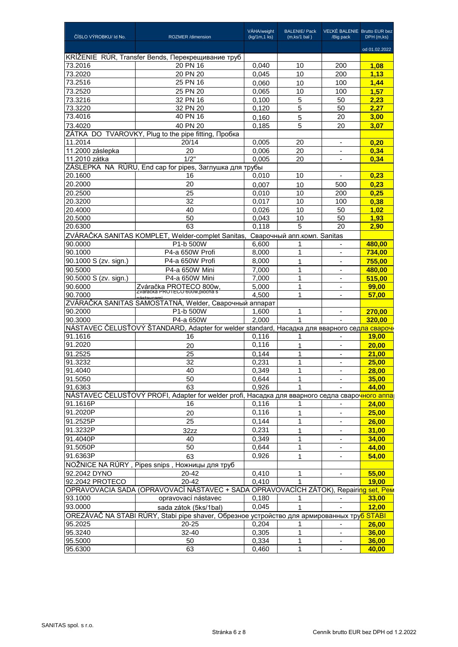| ČÍSLO VÝROBKU/ Id No. | <b>ROZMER</b> /dimension                                                                                     | VÁHA/weight<br>(kg/1m,1 ks) | <b>BALENIE/ Pack</b><br>(m, ks/1 bal) | VEĽKÉ BALENIE Brutto EUR bez<br>/Big pack | DPH (m,ks)    |
|-----------------------|--------------------------------------------------------------------------------------------------------------|-----------------------------|---------------------------------------|-------------------------------------------|---------------|
|                       |                                                                                                              |                             |                                       |                                           | od 01.02.2022 |
|                       | KRÍŽENIE RÚR, Transfer Bends, Перекрещивание труб                                                            |                             |                                       |                                           |               |
| 73.2016               | 20 PN 16                                                                                                     | 0,040                       | 10                                    | 200                                       | 1,08          |
| 73.2020               | 20 PN 20                                                                                                     | 0,045                       | 10                                    | 200                                       | 1,13          |
| 73.2516               | 25 PN 16                                                                                                     | 0,060                       | 10                                    | 100                                       | 1,44          |
| 73.2520               | 25 PN 20                                                                                                     | 0,065                       | 10                                    | 100                                       | 1,57          |
| 73.3216               | 32 PN 16                                                                                                     | 0,100                       | 5                                     | 50                                        | 2,23          |
| 73.3220               | 32 PN 20                                                                                                     | 0,120                       | 5                                     | 50                                        | 2,27          |
| 73.4016               | 40 PN 16                                                                                                     | 0,160                       | 5                                     | 20                                        | 3,00          |
| 73.4020               | 40 PN 20                                                                                                     | 0,185                       | 5                                     | 20                                        | 3,07          |
|                       | ZÁTKA DO TVAROVKY, Plug to the pipe fitting, Пробка                                                          |                             |                                       |                                           |               |
| 11.2014               | 20/14                                                                                                        | 0,005                       | 20                                    | $\blacksquare$                            | 0,20          |
| 11.2000 záslepka      | 20                                                                                                           | 0,006                       | 20                                    |                                           | 0,34          |
| 11.2010 zátka         | 1/2"                                                                                                         | 0,005                       | 20                                    | $\overline{\phantom{a}}$                  | 0,34          |
|                       | ZÁSLEPKA NA RÚRU, End cap for pipes, Заглушка для трубы                                                      |                             |                                       |                                           |               |
| 20.1600               | 16                                                                                                           | 0,010                       | 10                                    |                                           | 0,23          |
| 20.2000               | 20                                                                                                           | 0,007                       | 10                                    | 500                                       | 0,23          |
| 20.2500               | 25                                                                                                           | 0,010                       | 10                                    | 200                                       | 0,25          |
| 20.3200               | 32                                                                                                           | 0,017                       | 10                                    | 100                                       | 0,38          |
| 20.4000               | 40                                                                                                           | 0,026                       | 10                                    | 50                                        | 1,02          |
| 20.5000               | 50                                                                                                           | 0,043                       | 10                                    | 50                                        | 1,93          |
| 20.6300               | 63                                                                                                           | 0,118                       | 5                                     | 20                                        | 2,90          |
|                       | ZVÁRAČKA SANITAS KOMPLET, Welder-complet Sanitas,                                                            |                             | Сварочный апп.комп. Sanitas           |                                           |               |
| 90.0000               | P1-b 500W                                                                                                    | 6,600                       | 1                                     | $\blacksquare$                            | 480,00        |
| 90.1000               | P4-a 650W Profi                                                                                              | 8,000                       | 1                                     | $\overline{\phantom{a}}$                  | 734,00        |
| 90.1000 S (zv. sign.) | P4-a 650W Profi                                                                                              | 8,000                       | 1                                     |                                           | 755,00        |
| 90.5000               | P4-a 650W Mini                                                                                               | 7,000                       | $\mathbf{1}$                          | $\blacksquare$                            | 480,00        |
| 90.5000 S (zv. sign.) | P4-a 650W Mini                                                                                               | 7,000                       | 1                                     | $\overline{\phantom{a}}$                  | 515,00        |
| 90.6000               |                                                                                                              | 5,000                       | 1                                     | $\overline{\phantom{a}}$                  | 99,00         |
| 90.7000               | Zváračka PROTECO 800w,<br>zvaracka PROTECO 600w, piocna s                                                    | 4.500                       | 1                                     | ٠                                         | 57,00         |
|                       | nástavcami<br>ZVÁRAČKA SANITAS SAMOSTATNÁ, Welder, Сварочный аппарат                                         |                             |                                       |                                           |               |
| 90.2000               | P1-b 500W                                                                                                    | 1,600                       | 1                                     |                                           | 270,00        |
| 90.3000               | P4-a 650W                                                                                                    | 2,000                       | 1                                     |                                           | 320.00        |
|                       | │NÁSTAVEC ČELUSŤOVÝ ŠTANDARD, Adapter for welder standard, Насадка для вварного сед <mark>ла свароч</mark> н |                             |                                       |                                           |               |
| 91.1616               | 16                                                                                                           | 0,116                       | 1                                     |                                           | <b>19,00</b>  |
| 91.2020               | 20                                                                                                           | 0,116                       | 1                                     | $\overline{\phantom{a}}$                  | 20,00         |
| 91.2525               | 25                                                                                                           | 0,144                       | 1                                     | $\blacksquare$                            | 21,00         |
| 91.3232               | 32                                                                                                           | 0,231                       | $\mathbf{1}$                          |                                           | 25,00         |
| 91.4040               | 40                                                                                                           | 0,349                       | 1                                     | $\overline{\phantom{a}}$                  | 28,00         |
| 91.5050               | 50                                                                                                           | 0,644                       | 1                                     |                                           | 35,00         |
| 91.6363               | 63                                                                                                           | 0,926                       |                                       |                                           | 44,00         |
|                       | NÁSTAVEC ČELUSŤOVÝ PROFI, Adapter for welder profi, Насадка для вварного седла сварочного аппа               |                             |                                       |                                           |               |
| 91.1616P              | 16                                                                                                           | 0,116                       |                                       |                                           | 24,00         |
| 91.2020P              | 20                                                                                                           | 0,116                       | 1                                     | $\blacksquare$                            | 25,00         |
| 91.2525P              | 25                                                                                                           | 0,144                       | 1                                     | $\overline{\phantom{a}}$                  | 26,00         |
| 91.3232P              |                                                                                                              | 0,231                       |                                       | $\overline{\phantom{a}}$                  | 31,00         |
|                       | 32zz                                                                                                         |                             | 1                                     |                                           |               |
| 91.4040P              | 40                                                                                                           | 0,349                       | 1                                     | -                                         | 34,00         |
| 91.5050P              | 50                                                                                                           | 0,644                       | 1                                     | $\overline{\phantom{a}}$                  | 44,00         |
| 91.6363P              | 63                                                                                                           | 0,926                       | 1                                     |                                           | 54,00         |
|                       | NOŽNICE NA RÚRY, Pipes snips, Ножницы для труб                                                               |                             |                                       |                                           |               |
| 92.2042 DYNO          | 20-42                                                                                                        | 0,410                       |                                       |                                           | 55,00         |
| 92.2042 PROTECO       | 20-42                                                                                                        | 0,410                       |                                       |                                           | 19,00         |
|                       | OPRAVOVACIA SADA (OPRAVOVACÍ NÁSTAVEC + SADA OPRAVOVACÍCH ZÁTOK), Repairing set, Pem                         |                             |                                       |                                           |               |
| 93.1000               | opravovací nástavec                                                                                          | 0,180                       | 1                                     |                                           | 33,00         |
| 93.0000               | sada zátok (5ks/1bal)                                                                                        | 0,045                       |                                       |                                           | 12,00         |
|                       | OREZÁVAČ NA STABI RÚRY, Stabi pipe shaver, Обрезное устройство для армированных тру <mark>б STABI</mark>     |                             |                                       |                                           |               |
| 95.2025               | 20-25                                                                                                        | 0,204                       | 1                                     |                                           | 26,00         |
| 95.3240               | $32 - 40$                                                                                                    | 0,305                       | 1                                     | $\overline{\phantom{a}}$                  | 36,00         |
| 95.5000               | 50                                                                                                           | 0,334                       | 1                                     | $\overline{\phantom{a}}$                  | 36,00         |
| 95.6300               | 63                                                                                                           | 0,460                       | 1                                     |                                           | 40,00         |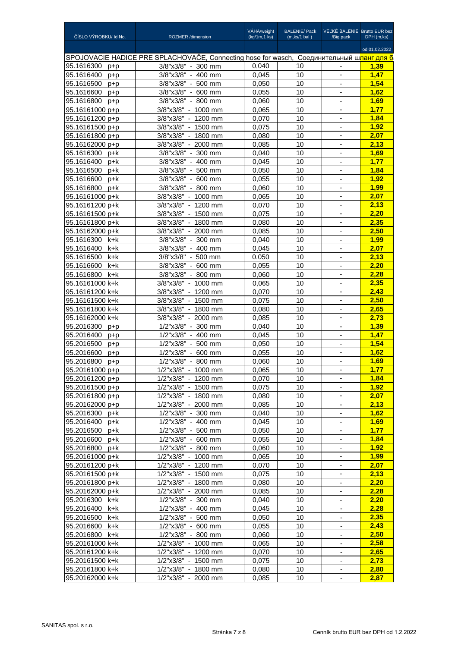| ČÍSLO VÝROBKU/ Id No. | <b>ROZMER</b> /dimension                                                                 | VÁHA/weight<br>(kg/1m, 1 ks) | <b>BALENIE/ Pack</b><br>(m, ks/1 bal) | VEĽKÉ BALENIE Brutto EUR bez<br>/Big pack            | DPH (m,ks)    |
|-----------------------|------------------------------------------------------------------------------------------|------------------------------|---------------------------------------|------------------------------------------------------|---------------|
|                       |                                                                                          |                              |                                       |                                                      | od 01.02.2022 |
|                       | SPOJOVACIE HADICE PRE SPLACHOVAČE, Connecting hose for wasch, Соединительный шланг для б |                              |                                       |                                                      |               |
| 95.1616300<br>p+p     | $3/8"x3/8" - 300$ mm                                                                     | 0,040                        | 10                                    | $\overline{\phantom{a}}$                             | 1,39          |
| 95.1616400<br>$p+p$   | 3/8"x3/8" - 400 mm                                                                       | 0,045                        | 10                                    | $\overline{\phantom{a}}$                             | 1,47          |
| 95.1616500<br>$p+p$   | 3/8"x3/8" - 500 mm                                                                       | 0,050                        | 10                                    | $\overline{\phantom{a}}$                             | 1.54          |
| 95.1616600<br>p+p     | 3/8"x3/8" - 600 mm                                                                       | 0,055                        | 10                                    | $\blacksquare$                                       | 1.62          |
| 95.1616800 p+p        | 3/8"x3/8" - 800 mm                                                                       | 0,060                        | 10                                    | $\blacksquare$                                       | 1,69          |
| 95.16161000 p+p       | 3/8"x3/8" - 1000 mm                                                                      | 0,065                        | 10                                    |                                                      | 1,77          |
| $95.16161200 p+p$     | 3/8"x3/8" - 1200 mm                                                                      | 0,070                        | 10                                    | $\blacksquare$                                       | 1,84          |
| 95.16161500 p+p       | 3/8"x3/8" - 1500 mm                                                                      | 0,075                        | 10                                    | $\overline{\phantom{a}}$                             | 1,92          |
| 95.16161800 p+p       | 3/8"x3/8" - 1800 mm                                                                      | 0,080                        | 10                                    | $\overline{\phantom{a}}$                             | 2.07          |
| 95.16162000 p+p       | 3/8"x3/8" - 2000 mm                                                                      | 0.085                        | 10                                    | $\overline{\phantom{a}}$                             | 2,13          |
| 95.1616300 p+k        | 3/8"x3/8" - 300 mm                                                                       | 0.040                        | 10                                    | $\centering \label{eq:reduced}$                      | 1,69          |
| 95.1616400<br>p+k     | $3/8$ "x $3/8$ " - 400 mm                                                                | 0,045                        | 10                                    | $\blacksquare$                                       | 1.77          |
| 95.1616500<br>p+k     | $3/8"x3/8" - 500$ mm                                                                     | 0.050                        | 10                                    | $\blacksquare$                                       | 1.84          |
| 95.1616600<br>p+k     | 3/8"x3/8" - 600 mm                                                                       | 0.055                        | 10                                    | $\blacksquare$                                       | 1.92          |
| 95.1616800 p+k        | 3/8"x3/8" - 800 mm                                                                       | 0,060                        | 10                                    | ÷,                                                   | 1,99          |
| 95.16161000 p+k       | 3/8"x3/8" - 1000 mm                                                                      | 0,065                        | 10                                    | $\centering \label{eq:reduced}$                      | 2,07          |
| 95.16161200 p+k       | 3/8"x3/8" - 1200 mm                                                                      | 0,070                        | 10                                    | $\overline{\phantom{a}}$                             | 2,13          |
| 95.16161500 p+k       | 3/8"x3/8" - 1500 mm                                                                      |                              |                                       |                                                      | 2,20          |
| 95.16161800 p+k       | 3/8"x3/8" - 1800 mm                                                                      | 0,075<br>0.080               | 10<br>10                              | $\overline{\phantom{a}}$                             | 2,35          |
| 95.16162000 p+k       | 3/8"x3/8" - 2000 mm                                                                      |                              | 10                                    | $\overline{\phantom{m}}$<br>$\overline{\phantom{a}}$ | 2.50          |
|                       |                                                                                          | 0,085                        | 10                                    |                                                      |               |
| 95.1616300 k+k        | 3/8"x3/8" - 300 mm                                                                       | 0,040                        |                                       | $\overline{\phantom{a}}$                             | 1,99          |
| 95.1616400 k+k        | 3/8"x3/8" - 400 mm                                                                       | 0,045                        | 10                                    | $\blacksquare$                                       | 2.07          |
| 95.1616500<br>k+k     | 3/8"x3/8" - 500 mm                                                                       | 0,050                        | 10                                    |                                                      | 2,13          |
| 95.1616600<br>k+k     | 3/8"x3/8" - 600 mm                                                                       | 0,055                        | 10                                    | $\overline{\phantom{a}}$                             | 2,20          |
| 95.1616800<br>k+k     | 3/8"x3/8" - 800 mm                                                                       | 0,060                        | 10                                    | $\overline{\phantom{a}}$                             | 2,28          |
| 95.16161000 k+k       | 3/8"x3/8" - 1000 mm                                                                      | 0,065                        | 10                                    | $\overline{\phantom{a}}$                             | 2,35          |
| 95.16161200 k+k       | 3/8"x3/8" - 1200 mm                                                                      | 0.070                        | 10                                    | $\overline{\phantom{a}}$                             | 2,43          |
| 95.16161500 k+k       | 3/8"x3/8" - 1500 mm                                                                      | 0,075                        | 10                                    | $\blacksquare$                                       | 2,50          |
| 95.16161800 k+k       | 3/8"x3/8" - 1800 mm                                                                      | 0.080                        | 10                                    | $\overline{\phantom{a}}$                             | 2,65          |
| 95.16162000 k+k       | 3/8"x3/8" - 2000 mm                                                                      | 0.085                        | 10                                    | $\overline{\phantom{a}}$                             | 2.73          |
| 95.2016300 p+p        | 1/2"x3/8" - 300 mm                                                                       | 0.040                        | 10                                    | $\blacksquare$                                       | 1,39          |
| 95.2016400<br>$p+p$   | 1/2"x3/8" - 400 mm                                                                       | 0,045                        | 10                                    |                                                      | 1,47          |
| 95.2016500<br>$p+p$   | 1/2"x3/8" - 500 mm                                                                       | 0.050                        | 10                                    | $\blacksquare$                                       | 1,54          |
| 95.2016600<br>$p+p$   | 1/2"x3/8" - 600 mm                                                                       | 0,055                        | 10                                    | $\overline{\phantom{a}}$                             | 1.62          |
| 95.2016800<br>$p+p$   | 1/2"x3/8" - 800 mm                                                                       | 0.060                        | 10                                    | $\overline{\phantom{a}}$                             | 1,69          |
| 95.20161000 p+p       | 1/2"x3/8" - 1000 mm                                                                      | 0,065                        | 10                                    |                                                      | <u>1,77</u>   |
| 95.20161200 p+p       | 1/2"x3/8" - 1200 mm                                                                      | 0,070                        | 10                                    | $\overline{\phantom{a}}$                             | 1,84          |
| 95.20161500 p+p       | 1/2"x3/8" - 1500 mm                                                                      | 0,075                        | 10                                    | $\overline{\phantom{a}}$                             | 1,92          |
| 95.20161800 p+p       | 1/2"x3/8" - 1800 mm                                                                      | 0,080                        | 10                                    | $\overline{\phantom{a}}$                             | 2,07          |
| 95.20162000 p+p       | 1/2"x3/8" - 2000 mm                                                                      | 0,085                        | 10                                    |                                                      | 2.13          |
| 95.2016300 p+k        | 1/2"x3/8" - 300 mm                                                                       | 0,040                        | 10                                    | $\overline{\phantom{a}}$                             | 1.62          |
| 95.2016400 p+k        | 1/2"x3/8" - 400 mm                                                                       | 0,045                        | 10                                    | $\overline{\phantom{a}}$                             | 1,69          |
| 95.2016500 p+k        | 1/2"x3/8" - 500 mm                                                                       | 0,050                        | 10                                    | $\blacksquare$                                       | 1.77          |
| 95.2016600 p+k        | 1/2"x3/8" - 600 mm                                                                       | 0,055                        | 10                                    | $\overline{\phantom{a}}$                             | 1,84          |
| 95.2016800 p+k        | 1/2"x3/8" - 800 mm                                                                       | 0,060                        | 10                                    | $\overline{\phantom{a}}$                             | 1,92          |
| 95.20161000 p+k       | 1/2"x3/8" - 1000 mm                                                                      | 0,065                        | 10                                    | $\overline{\phantom{a}}$                             | 1,99          |
| 95.20161200 p+k       | 1/2"x3/8" - 1200 mm                                                                      | 0,070                        | 10                                    | $\overline{\phantom{a}}$                             | 2,07          |
| 95.20161500 p+k       | 1/2"x3/8" - 1500 mm                                                                      | 0,075                        | 10                                    |                                                      | 2,13          |
| 95.20161800 p+k       | 1/2"x3/8" - 1800 mm                                                                      | 0,080                        | 10                                    | $\overline{\phantom{a}}$                             | 2,20          |
| 95.20162000 p+k       | 1/2"x3/8" - 2000 mm                                                                      | 0,085                        | 10                                    | $\overline{\phantom{a}}$                             | 2,28          |
| 95.2016300 k+k        | 1/2"x3/8" - 300 mm                                                                       | 0,040                        | 10                                    | $\overline{\phantom{a}}$                             | 2,20          |
| 95.2016400 k+k        | 1/2"x3/8" - 400 mm                                                                       | 0,045                        | 10                                    | $\overline{\phantom{a}}$                             | 2,28          |
| 95.2016500<br>k+k     | 1/2"x3/8" - 500 mm                                                                       | 0,050                        | 10                                    | $\overline{\phantom{a}}$                             | 2,35          |
| 95.2016600<br>k+k     | 1/2"x3/8" - 600 mm                                                                       | 0,055                        | 10                                    | $\centerdot$                                         | 2,43          |
| 95.2016800 k+k        | 1/2"x3/8" - 800 mm                                                                       | 0,060                        | 10                                    | $\blacksquare$                                       | 2,50          |
| 95.20161000 k+k       | 1/2"x3/8" - 1000 mm                                                                      | 0,065                        | 10                                    | $\overline{\phantom{a}}$                             | 2,58          |
| 95.20161200 k+k       | 1/2"x3/8" - 1200 mm                                                                      | 0,070                        | 10                                    | $\blacksquare$                                       | 2,65          |
| 95.20161500 k+k       | 1/2"x3/8" - 1500 mm                                                                      | 0,075                        | 10                                    | $\overline{\phantom{a}}$                             | 2,73          |
| 95.20161800 k+k       | 1/2"x3/8" - 1800 mm                                                                      | 0,080                        | 10                                    | $\overline{\phantom{a}}$                             | 2,80          |
| 95.20162000 k+k       | 1/2"x3/8" - 2000 mm                                                                      | 0,085                        | 10                                    | $\overline{\phantom{a}}$                             | 2,87          |
|                       |                                                                                          |                              |                                       |                                                      |               |